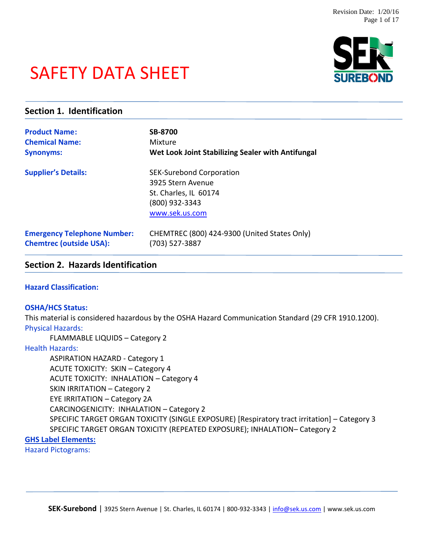# SAFETY DATA SHEET



| <b>Section 1. Identification</b>   |                                                   |  |  |  |
|------------------------------------|---------------------------------------------------|--|--|--|
| <b>Product Name:</b>               | <b>SB-8700</b>                                    |  |  |  |
| <b>Chemical Name:</b>              | Mixture                                           |  |  |  |
| <b>Synonyms:</b>                   | Wet Look Joint Stabilizing Sealer with Antifungal |  |  |  |
| <b>Supplier's Details:</b>         | <b>SEK-Surebond Corporation</b>                   |  |  |  |
|                                    | 3925 Stern Avenue                                 |  |  |  |
|                                    | St. Charles, IL 60174                             |  |  |  |
|                                    | (800) 932-3343                                    |  |  |  |
|                                    | www.sek.us.com                                    |  |  |  |
| <b>Emergency Telephone Number:</b> | CHEMTREC (800) 424-9300 (United States Only)      |  |  |  |
| <b>Chemtrec (outside USA):</b>     | (703) 527-3887                                    |  |  |  |

# **Section 2. Hazards Identification**

#### **Hazard Classification:**

#### **OSHA/HCS Status:**

This material is considered hazardous by the OSHA Hazard Communication Standard (29 CFR 1910.1200). Physical Hazards:

FLAMMABLE LIQUIDS – Category 2

Health Hazards:

ASPIRATION HAZARD - Category 1 ACUTE TOXICITY: SKIN – Category 4 ACUTE TOXICITY: INHALATION – Category 4 SKIN IRRITATION – Category 2 EYE IRRITATION – Category 2A CARCINOGENICITY: INHALATION – Category 2 SPECIFIC TARGET ORGAN TOXICITY (SINGLE EXPOSURE) [Respiratory tract irritation] – Category 3 SPECIFIC TARGET ORGAN TOXICITY (REPEATED EXPOSURE); INHALATION– Category 2

# **GHS Label Elements:**

Hazard Pictograms: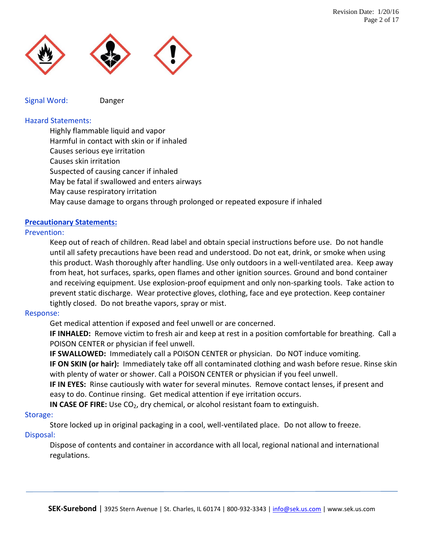

Signal Word: Danger

# Hazard Statements:

Highly flammable liquid and vapor

Harmful in contact with skin or if inhaled

- Causes serious eye irritation
- Causes skin irritation

Suspected of causing cancer if inhaled

May be fatal if swallowed and enters airways

May cause respiratory irritation

May cause damage to organs through prolonged or repeated exposure if inhaled

# **Precautionary Statements:**

# Prevention:

Keep out of reach of children. Read label and obtain special instructions before use. Do not handle until all safety precautions have been read and understood. Do not eat, drink, or smoke when using this product. Wash thoroughly after handling. Use only outdoors in a well-ventilated area. Keep away from heat, hot surfaces, sparks, open flames and other ignition sources. Ground and bond container and receiving equipment. Use explosion-proof equipment and only non-sparking tools. Take action to prevent static discharge. Wear protective gloves, clothing, face and eye protection. Keep container tightly closed. Do not breathe vapors, spray or mist.

#### Response:

Get medical attention if exposed and feel unwell or are concerned.

**IF INHALED:** Remove victim to fresh air and keep at rest in a position comfortable for breathing. Call a POISON CENTER or physician if feel unwell.

**IF SWALLOWED:** Immediately call a POISON CENTER or physician. Do NOT induce vomiting. **IF ON SKIN (or hair):** Immediately take off all contaminated clothing and wash before resue. Rinse skin with plenty of water or shower. Call a POISON CENTER or physician if you feel unwell.

**IF IN EYES:** Rinse cautiously with water for several minutes. Remove contact lenses, if present and easy to do. Continue rinsing. Get medical attention if eye irritation occurs.

**IN CASE OF FIRE:** Use CO<sub>2</sub>, dry chemical, or alcohol resistant foam to extinguish.

#### Storage:

Store locked up in original packaging in a cool, well-ventilated place. Do not allow to freeze. Disposal:

Dispose of contents and container in accordance with all local, regional national and international regulations.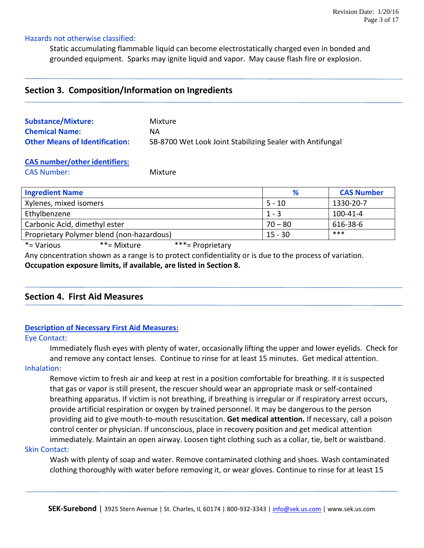#### Hazards not otherwise classified:

Static accumulating flammable liquid can become electrostatically charged even in bonded and grounded equipment. Sparks may ignite liquid and vapor. May cause flash fire or explosion.

# **Section 3. Composition/Information on Ingredients**

| <b>Substance/Mixture:</b>             | Mixture                                                   |
|---------------------------------------|-----------------------------------------------------------|
| <b>Chemical Name:</b>                 | ΝA                                                        |
| <b>Other Means of Identification:</b> | SB-8700 Wet Look Joint Stabilizing Sealer with Antifungal |

# **CAS number/other identifiers:**

CAS Number: Mixture

| <b>Ingredient Name</b>                    | %         | <b>CAS Number</b> |
|-------------------------------------------|-----------|-------------------|
| Xylenes, mixed isomers                    | $5 - 10$  | 1330-20-7         |
| Ethylbenzene                              | $1 - 3$   | $100 - 41 - 4$    |
| Carbonic Acid, dimethyl ester             | $70 - 80$ | 616-38-6          |
| Proprietary Polymer blend (non-hazardous) | $15 - 30$ | ***               |

\*= Various \*\*= Mixture \*\*\*= Proprietary

Any concentration shown as a range is to protect confidentiality or is due to the process of variation.

**Occupation exposure limits, if available, are listed in Section 8.**

# **Section 4. First Aid Measures**

#### **Description of Necessary First Aid Measures:**

#### Eye Contact:

Immediately flush eyes with plenty of water, occasionally lifting the upper and lower eyelids. Check for and remove any contact lenses. Continue to rinse for at least 15 minutes. Get medical attention.

#### Inhalation:

Remove victim to fresh air and keep at rest in a position comfortable for breathing. If it is suspected that gas or vapor is still present, the rescuer should wear an appropriate mask or self-contained breathing apparatus. If victim is not breathing, if breathing is irregular or if respiratory arrest occurs, provide artificial respiration or oxygen by trained personnel. It may be dangerous to the person providing aid to give mouth-to-mouth resuscitation. **Get medical attention.** If necessary, call a poison control center or physician. If unconscious, place in recovery position and get medical attention immediately. Maintain an open airway. Loosen tight clothing such as a collar, tie, belt or waistband.

#### Skin Contact:

Wash with plenty of soap and water. Remove contaminated clothing and shoes. Wash contaminated clothing thoroughly with water before removing it, or wear gloves. Continue to rinse for at least 15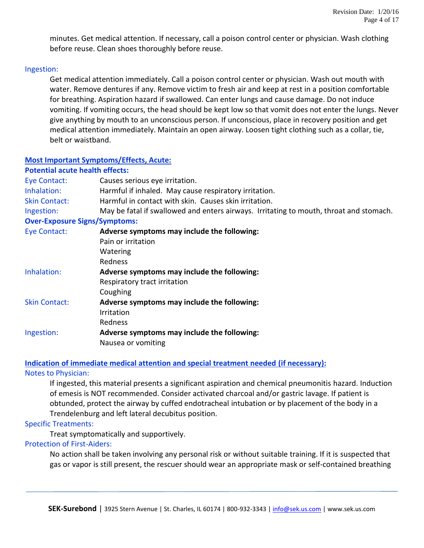minutes. Get medical attention. If necessary, call a poison control center or physician. Wash clothing before reuse. Clean shoes thoroughly before reuse.

#### Ingestion:

Get medical attention immediately. Call a poison control center or physician. Wash out mouth with water. Remove dentures if any. Remove victim to fresh air and keep at rest in a position comfortable for breathing. Aspiration hazard if swallowed. Can enter lungs and cause damage. Do not induce vomiting. If vomiting occurs, the head should be kept low so that vomit does not enter the lungs. Never give anything by mouth to an unconscious person. If unconscious, place in recovery position and get medical attention immediately. Maintain an open airway. Loosen tight clothing such as a collar, tie, belt or waistband.

#### **Most Important Symptoms/Effects, Acute:**

#### **Potential acute health effects:**

| Eye Contact:                         | Causes serious eye irritation.                                                         |  |  |  |  |
|--------------------------------------|----------------------------------------------------------------------------------------|--|--|--|--|
| Inhalation:                          | Harmful if inhaled. May cause respiratory irritation.                                  |  |  |  |  |
| <b>Skin Contact:</b>                 | Harmful in contact with skin. Causes skin irritation.                                  |  |  |  |  |
| Ingestion:                           | May be fatal if swallowed and enters airways. Irritating to mouth, throat and stomach. |  |  |  |  |
| <b>Over-Exposure Signs/Symptoms:</b> |                                                                                        |  |  |  |  |
| Eye Contact:                         | Adverse symptoms may include the following:                                            |  |  |  |  |
|                                      | Pain or irritation                                                                     |  |  |  |  |
|                                      | Watering                                                                               |  |  |  |  |
|                                      | <b>Redness</b>                                                                         |  |  |  |  |
| Inhalation:                          | Adverse symptoms may include the following:                                            |  |  |  |  |
|                                      | Respiratory tract irritation                                                           |  |  |  |  |
|                                      | Coughing                                                                               |  |  |  |  |
| <b>Skin Contact:</b>                 | Adverse symptoms may include the following:                                            |  |  |  |  |
|                                      | Irritation                                                                             |  |  |  |  |
|                                      | <b>Redness</b>                                                                         |  |  |  |  |
| Ingestion:                           | Adverse symptoms may include the following:                                            |  |  |  |  |
|                                      |                                                                                        |  |  |  |  |

Nausea or vomiting

#### **Indication of immediate medical attention and special treatment needed (if necessary):**

#### Notes to Physician:

If ingested, this material presents a significant aspiration and chemical pneumonitis hazard. Induction of emesis is NOT recommended. Consider activated charcoal and/or gastric lavage. If patient is obtunded, protect the airway by cuffed endotracheal intubation or by placement of the body in a Trendelenburg and left lateral decubitus position.

#### Specific Treatments:

Treat symptomatically and supportively.

Protection of First-Aiders:

No action shall be taken involving any personal risk or without suitable training. If it is suspected that gas or vapor is still present, the rescuer should wear an appropriate mask or self-contained breathing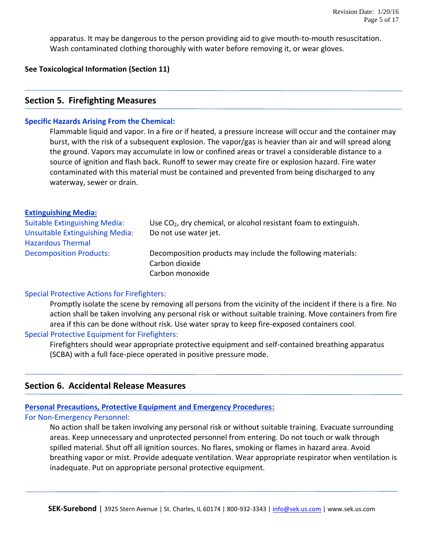apparatus. It may be dangerous to the person providing aid to give mouth-to-mouth resuscitation. Wash contaminated clothing thoroughly with water before removing it, or wear gloves.

**See Toxicological Information (Section 11)**

## **Section 5. Firefighting Measures**

#### **Specific Hazards Arising From the Chemical:**

Flammable liquid and vapor. In a fire or if heated, a pressure increase will occur and the container may burst, with the risk of a subsequent explosion. The vapor/gas is heavier than air and will spread along the ground. Vapors may accumulate in low or confined areas or travel a considerable distance to a source of ignition and flash back. Runoff to sewer may create fire or explosion hazard. Fire water contaminated with this material must be contained and prevented from being discharged to any waterway, sewer or drain.

#### **Extinguishing Media:**

| <b>Suitable Extinguishing Media:</b><br><b>Unsuitable Extinguishing Media:</b> | Use $CO2$ , dry chemical, or alcohol resistant foam to extinguish.<br>Do not use water jet. |
|--------------------------------------------------------------------------------|---------------------------------------------------------------------------------------------|
| <b>Hazardous Thermal</b>                                                       |                                                                                             |
| <b>Decomposition Products:</b>                                                 | Decomposition products may include the following materials:<br>Carbon dioxide               |
|                                                                                | Carbon monoxide                                                                             |

#### Special Protective Actions for Firefighters:

Promptly isolate the scene by removing all persons from the vicinity of the incident if there is a fire. No action shall be taken involving any personal risk or without suitable training. Move containers from fire area if this can be done without risk. Use water spray to keep fire-exposed containers cool.

#### Special Protective Equipment for Firefighters:

Firefighters should wear appropriate protective equipment and self-contained breathing apparatus (SCBA) with a full face-piece operated in positive pressure mode.

# **Section 6. Accidental Release Measures**

#### **Personal Precautions, Protective Equipment and Emergency Procedures:**

#### For Non-Emergency Personnel:

No action shall be taken involving any personal risk or without suitable training. Evacuate surrounding areas. Keep unnecessary and unprotected personnel from entering. Do not touch or walk through spilled material. Shut off all ignition sources. No flares, smoking or flames in hazard area. Avoid breathing vapor or mist. Provide adequate ventilation. Wear appropriate respirator when ventilation is inadequate. Put on appropriate personal protective equipment.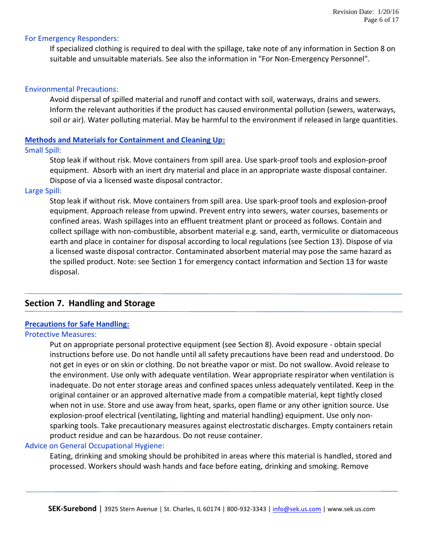#### For Emergency Responders:

If specialized clothing is required to deal with the spillage, take note of any information in Section 8 on suitable and unsuitable materials. See also the information in "For Non-Emergency Personnel".

#### Environmental Precautions:

Avoid dispersal of spilled material and runoff and contact with soil, waterways, drains and sewers. Inform the relevant authorities if the product has caused environmental pollution (sewers, waterways, soil or air). Water polluting material. May be harmful to the environment if released in large quantities.

#### **Methods and Materials for Containment and Cleaning Up:**

#### Small Spill:

Stop leak if without risk. Move containers from spill area. Use spark-proof tools and explosion-proof equipment. Absorb with an inert dry material and place in an appropriate waste disposal container. Dispose of via a licensed waste disposal contractor.

#### Large Spill:

Stop leak if without risk. Move containers from spill area. Use spark-proof tools and explosion-proof equipment. Approach release from upwind. Prevent entry into sewers, water courses, basements or confined areas. Wash spillages into an effluent treatment plant or proceed as follows. Contain and collect spillage with non-combustible, absorbent material e.g. sand, earth, vermiculite or diatomaceous earth and place in container for disposal according to local regulations (see Section 13). Dispose of via a licensed waste disposal contractor. Contaminated absorbent material may pose the same hazard as the spilled product. Note: see Section 1 for emergency contact information and Section 13 for waste disposal.

#### **Section 7. Handling and Storage**

#### **Precautions for Safe Handling:**

#### Protective Measures:

Put on appropriate personal protective equipment (see Section 8). Avoid exposure - obtain special instructions before use. Do not handle until all safety precautions have been read and understood. Do not get in eyes or on skin or clothing. Do not breathe vapor or mist. Do not swallow. Avoid release to the environment. Use only with adequate ventilation. Wear appropriate respirator when ventilation is inadequate. Do not enter storage areas and confined spaces unless adequately ventilated. Keep in the original container or an approved alternative made from a compatible material, kept tightly closed when not in use. Store and use away from heat, sparks, open flame or any other ignition source. Use explosion-proof electrical (ventilating, lighting and material handling) equipment. Use only nonsparking tools. Take precautionary measures against electrostatic discharges. Empty containers retain product residue and can be hazardous. Do not reuse container.

#### Advice on General Occupational Hygiene:

Eating, drinking and smoking should be prohibited in areas where this material is handled, stored and processed. Workers should wash hands and face before eating, drinking and smoking. Remove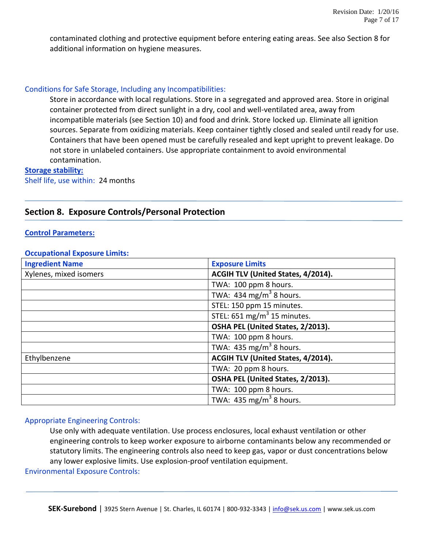contaminated clothing and protective equipment before entering eating areas. See also Section 8 for additional information on hygiene measures.

#### Conditions for Safe Storage, Including any Incompatibilities:

Store in accordance with local regulations. Store in a segregated and approved area. Store in original container protected from direct sunlight in a dry, cool and well-ventilated area, away from incompatible materials (see Section 10) and food and drink. Store locked up. Eliminate all ignition sources. Separate from oxidizing materials. Keep container tightly closed and sealed until ready for use. Containers that have been opened must be carefully resealed and kept upright to prevent leakage. Do not store in unlabeled containers. Use appropriate containment to avoid environmental contamination.

#### **Storage stability:**

Shelf life, use within: 24 months

# **Section 8. Exposure Controls/Personal Protection**

#### **Control Parameters:**

#### **Occupational Exposure Limits:**

| <b>Ingredient Name</b> | <b>Exposure Limits</b>                 |
|------------------------|----------------------------------------|
| Xylenes, mixed isomers | ACGIH TLV (United States, 4/2014).     |
|                        | TWA: 100 ppm 8 hours.                  |
|                        | TWA: 434 mg/m <sup>3</sup> 8 hours.    |
|                        | STEL: 150 ppm 15 minutes.              |
|                        | STEL: $651 \text{ mg/m}^3$ 15 minutes. |
|                        | OSHA PEL (United States, 2/2013).      |
|                        | TWA: 100 ppm 8 hours.                  |
|                        | TWA: $435 \text{ mg/m}^3$ 8 hours.     |
| Ethylbenzene           | ACGIH TLV (United States, 4/2014).     |
|                        | TWA: 20 ppm 8 hours.                   |
|                        | OSHA PEL (United States, 2/2013).      |
|                        | TWA: 100 ppm 8 hours.                  |
|                        | TWA: 435 mg/m <sup>3</sup> 8 hours.    |

#### Appropriate Engineering Controls:

Use only with adequate ventilation. Use process enclosures, local exhaust ventilation or other engineering controls to keep worker exposure to airborne contaminants below any recommended or statutory limits. The engineering controls also need to keep gas, vapor or dust concentrations below any lower explosive limits. Use explosion-proof ventilation equipment.

Environmental Exposure Controls: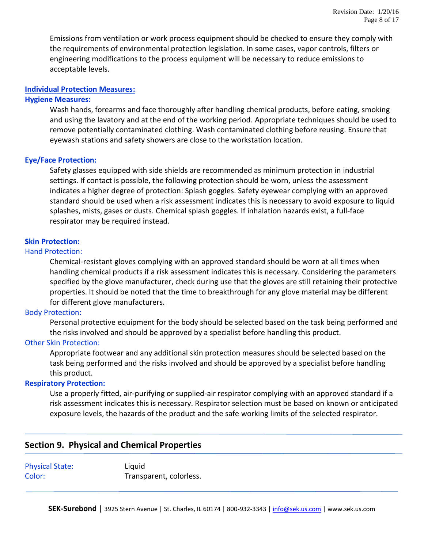Emissions from ventilation or work process equipment should be checked to ensure they comply with the requirements of environmental protection legislation. In some cases, vapor controls, filters or engineering modifications to the process equipment will be necessary to reduce emissions to acceptable levels.

#### **Individual Protection Measures:**

#### **Hygiene Measures:**

Wash hands, forearms and face thoroughly after handling chemical products, before eating, smoking and using the lavatory and at the end of the working period. Appropriate techniques should be used to remove potentially contaminated clothing. Wash contaminated clothing before reusing. Ensure that eyewash stations and safety showers are close to the workstation location.

#### **Eye/Face Protection:**

Safety glasses equipped with side shields are recommended as minimum protection in industrial settings. If contact is possible, the following protection should be worn, unless the assessment indicates a higher degree of protection: Splash goggles. Safety eyewear complying with an approved standard should be used when a risk assessment indicates this is necessary to avoid exposure to liquid splashes, mists, gases or dusts. Chemical splash goggles. If inhalation hazards exist, a full-face respirator may be required instead.

#### **Skin Protection:**

#### Hand Protection:

Chemical-resistant gloves complying with an approved standard should be worn at all times when handling chemical products if a risk assessment indicates this is necessary. Considering the parameters specified by the glove manufacturer, check during use that the gloves are still retaining their protective properties. It should be noted that the time to breakthrough for any glove material may be different for different glove manufacturers.

#### Body Protection:

Personal protective equipment for the body should be selected based on the task being performed and the risks involved and should be approved by a specialist before handling this product.

#### Other Skin Protection:

Appropriate footwear and any additional skin protection measures should be selected based on the task being performed and the risks involved and should be approved by a specialist before handling this product.

#### **Respiratory Protection:**

Use a properly fitted, air-purifying or supplied-air respirator complying with an approved standard if a risk assessment indicates this is necessary. Respirator selection must be based on known or anticipated exposure levels, the hazards of the product and the safe working limits of the selected respirator.

# **Section 9. Physical and Chemical Properties**

Physical State: Liquid Color: Transparent, colorless.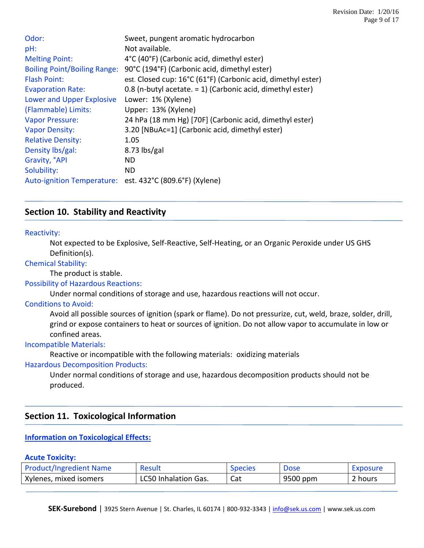| Odor:                                                    | Sweet, pungent aromatic hydrocarbon                           |
|----------------------------------------------------------|---------------------------------------------------------------|
| pH:                                                      | Not available.                                                |
| <b>Melting Point:</b>                                    | 4°C (40°F) (Carbonic acid, dimethyl ester)                    |
| <b>Boiling Point/Boiling Range:</b>                      | 90°C (194°F) (Carbonic acid, dimethyl ester)                  |
| <b>Flash Point:</b>                                      | est. Closed cup: 16°C (61°F) (Carbonic acid, dimethyl ester)  |
| <b>Evaporation Rate:</b>                                 | 0.8 (n-butyl acetate. $= 1$ ) (Carbonic acid, dimethyl ester) |
| Lower and Upper Explosive                                | Lower: 1% (Xylene)                                            |
| (Flammable) Limits:                                      | Upper: 13% (Xylene)                                           |
| <b>Vapor Pressure:</b>                                   | 24 hPa (18 mm Hg) [70F] (Carbonic acid, dimethyl ester)       |
| <b>Vapor Density:</b>                                    | 3.20 [NBuAc=1] (Carbonic acid, dimethyl ester)                |
| <b>Relative Density:</b>                                 | 1.05                                                          |
| Density lbs/gal:                                         | $8.73$ lbs/gal                                                |
| Gravity, °API                                            | ND.                                                           |
| Solubility:                                              | ND.                                                           |
| Auto-ignition Temperature: est. 432°C (809.6°F) (Xylene) |                                                               |

# **Section 10. Stability and Reactivity**

#### Reactivity:

Not expected to be Explosive, Self-Reactive, Self-Heating, or an Organic Peroxide under US GHS Definition(s).

#### Chemical Stability:

The product is stable.

#### Possibility of Hazardous Reactions:

Under normal conditions of storage and use, hazardous reactions will not occur.

#### Conditions to Avoid:

Avoid all possible sources of ignition (spark or flame). Do not pressurize, cut, weld, braze, solder, drill, grind or expose containers to heat or sources of ignition. Do not allow vapor to accumulate in low or confined areas.

#### Incompatible Materials:

Reactive or incompatible with the following materials: oxidizing materials

#### Hazardous Decomposition Products:

Under normal conditions of storage and use, hazardous decomposition products should not be produced.

# **Section 11. Toxicological Information**

# **Information on Toxicological Effects:**

#### **Acute Toxicity:**

| <b>Product/Ingredient Name</b> | Result                      | <b>Species</b> | Dose     | Exposure |
|--------------------------------|-----------------------------|----------------|----------|----------|
| Xylenes, mixed isomers         | <b>LC50 Inhalation Gas.</b> | Cat            | 9500 ppm | 2 hours  |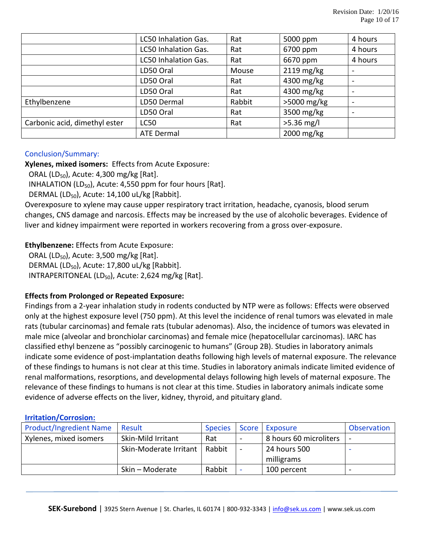|                               | LC50 Inhalation Gas. | Rat    | 5000 ppm     | 4 hours                  |
|-------------------------------|----------------------|--------|--------------|--------------------------|
|                               | LC50 Inhalation Gas. | Rat    | 6700 ppm     | 4 hours                  |
|                               | LC50 Inhalation Gas. | Rat    | 6670 ppm     | 4 hours                  |
|                               | LD50 Oral            | Mouse  | $2119$ mg/kg |                          |
|                               | LD50 Oral            | Rat    | 4300 mg/kg   |                          |
|                               | LD50 Oral            | Rat    | 4300 mg/kg   |                          |
| Ethylbenzene                  | LD50 Dermal          | Rabbit | >5000 mg/kg  | $\overline{\phantom{0}}$ |
|                               | LD50 Oral            | Rat    | 3500 mg/kg   |                          |
| Carbonic acid, dimethyl ester | <b>LC50</b>          | Rat    | $>5.36$ mg/l |                          |
|                               | <b>ATE Dermal</b>    |        | 2000 mg/kg   |                          |

# Conclusion/Summary:

**Xylenes, mixed isomers:** Effects from Acute Exposure:

ORAL (LD<sub>50</sub>), Acute: 4,300 mg/kg [Rat].

INHALATION (LD<sub>50</sub>), Acute: 4,550 ppm for four hours [Rat].

DERMAL (LD $_{50}$ ), Acute: 14,100 uL/kg [Rabbit].

Overexposure to xylene may cause upper respiratory tract irritation, headache, cyanosis, blood serum changes, CNS damage and narcosis. Effects may be increased by the use of alcoholic beverages. Evidence of liver and kidney impairment were reported in workers recovering from a gross over-exposure.

# **Ethylbenzene:** Effects from Acute Exposure:

ORAL (LD<sub>50</sub>), Acute: 3,500 mg/kg [Rat]. DERMAL (LD<sub>50</sub>), Acute: 17,800 uL/kg [Rabbit]. INTRAPERITONEAL (LD $_{50}$ ), Acute: 2,624 mg/kg [Rat].

# **Effects from Prolonged or Repeated Exposure:**

Findings from a 2-year inhalation study in rodents conducted by NTP were as follows: Effects were observed only at the highest exposure level (750 ppm). At this level the incidence of renal tumors was elevated in male rats (tubular carcinomas) and female rats (tubular adenomas). Also, the incidence of tumors was elevated in male mice (alveolar and bronchiolar carcinomas) and female mice (hepatocellular carcinomas). IARC has classified ethyl benzene as "possibly carcinogenic to humans" (Group 2B). Studies in laboratory animals indicate some evidence of post-implantation deaths following high levels of maternal exposure. The relevance of these findings to humans is not clear at this time. Studies in laboratory animals indicate limited evidence of renal malformations, resorptions, and developmental delays following high levels of maternal exposure. The relevance of these findings to humans is not clear at this time. Studies in laboratory animals indicate some evidence of adverse effects on the liver, kidney, thyroid, and pituitary gland.

#### **Irritation/Corrosion:**

| <b>Product/Ingredient Name</b> | Result                 | <b>Species</b> | <b>Score</b>                 | Exposure                   | Observation |
|--------------------------------|------------------------|----------------|------------------------------|----------------------------|-------------|
| Xylenes, mixed isomers         | Skin-Mild Irritant     | Rat            | $\sim$                       | 8 hours 60 microliters     |             |
|                                | Skin-Moderate Irritant | Rabbit         | $\qquad \qquad \blacksquare$ | 24 hours 500<br>milligrams |             |
|                                | Skin - Moderate        | Rabbit         | $\overline{\phantom{a}}$     | 100 percent                |             |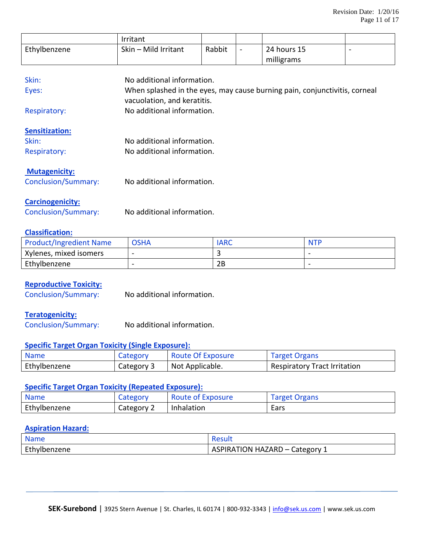|                            | Irritant                    |        |                          |                                                                            |  |
|----------------------------|-----------------------------|--------|--------------------------|----------------------------------------------------------------------------|--|
| Ethylbenzene               | Skin - Mild Irritant        | Rabbit | $\overline{\phantom{a}}$ | 24 hours 15                                                                |  |
|                            |                             |        |                          | milligrams                                                                 |  |
|                            |                             |        |                          |                                                                            |  |
| Skin:                      | No additional information.  |        |                          |                                                                            |  |
| Eyes:                      |                             |        |                          | When splashed in the eyes, may cause burning pain, conjunctivitis, corneal |  |
|                            | vacuolation, and keratitis. |        |                          |                                                                            |  |
| <b>Respiratory:</b>        | No additional information.  |        |                          |                                                                            |  |
| <b>Sensitization:</b>      |                             |        |                          |                                                                            |  |
| Skin:                      | No additional information.  |        |                          |                                                                            |  |
| <b>Respiratory:</b>        | No additional information.  |        |                          |                                                                            |  |
| <b>Mutagenicity:</b>       |                             |        |                          |                                                                            |  |
| <b>Conclusion/Summary:</b> | No additional information.  |        |                          |                                                                            |  |
| <b>Carcinogenicity:</b>    |                             |        |                          |                                                                            |  |
| Conclusion/Summary:        | No additional information.  |        |                          |                                                                            |  |

#### **Classification:**

| <b>Product/Ingredient Name</b> | <b>OSHA</b>              | <b>IARC</b> | <b>NTP</b> |
|--------------------------------|--------------------------|-------------|------------|
| Xylenes, mixed isomers         | $\overline{\phantom{a}}$ |             |            |
| Ethylbenzene                   | $\overline{\phantom{0}}$ | 2B          |            |

#### **Reproductive Toxicity:**

Conclusion/Summary: No additional information.

#### **Teratogenicity:**

Conclusion/Summary: No additional information.

#### **Specific Target Organ Toxicity (Single Exposure):**

| <b>Name</b>  | Category   | <b>Route Of Exposure</b> | <b>Target Organs</b>                |
|--------------|------------|--------------------------|-------------------------------------|
| Ethylbenzene | Category 3 | Not Applicable.          | <b>Respiratory Tract Irritation</b> |

# **Specific Target Organ Toxicity (Repeated Exposure):**

| <b>Name</b>  | Category   | <b>Route of Exposure</b> | <b>Target Organs</b> |
|--------------|------------|--------------------------|----------------------|
| Ethylbenzene | Category 2 | Inhalation               | Ears                 |

#### **Aspiration Hazard:**

| <b>Name</b>  |                                                                     |
|--------------|---------------------------------------------------------------------|
| Ethylbenzene | <b>ASPIRATION HAZARD</b><br>Category 1<br>$\mathbf{1}$ $\mathbf{I}$ |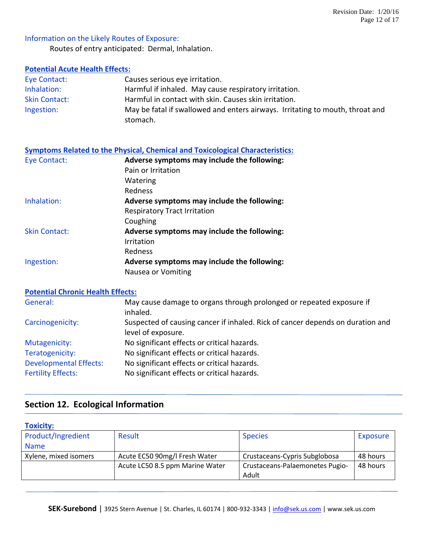# Information on the Likely Routes of Exposure:

Routes of entry anticipated: Dermal, Inhalation.

# **Potential Acute Health Effects:**

| Eye Contact:         | Causes serious eye irritation.                                                |
|----------------------|-------------------------------------------------------------------------------|
| Inhalation:          | Harmful if inhaled. May cause respiratory irritation.                         |
| <b>Skin Contact:</b> | Harmful in contact with skin. Causes skin irritation.                         |
| Ingestion:           | May be fatal if swallowed and enters airways. Irritating to mouth, throat and |
|                      | stomach.                                                                      |

# **Symptoms Related to the Physical, Chemical and Toxicological Characteristics:**

| Eye Contact:         | Adverse symptoms may include the following: |  |
|----------------------|---------------------------------------------|--|
|                      | Pain or Irritation                          |  |
|                      | Watering                                    |  |
|                      | Redness                                     |  |
| Inhalation:          | Adverse symptoms may include the following: |  |
|                      | <b>Respiratory Tract Irritation</b>         |  |
|                      | Coughing                                    |  |
| <b>Skin Contact:</b> | Adverse symptoms may include the following: |  |
|                      | Irritation                                  |  |
|                      | Redness                                     |  |
| Ingestion:           | Adverse symptoms may include the following: |  |
|                      | Nausea or Vomiting                          |  |

#### **Potential Chronic Health Effects:**

| General:                      | May cause damage to organs through prolonged or repeated exposure if<br>inhaled.                     |
|-------------------------------|------------------------------------------------------------------------------------------------------|
| Carcinogenicity:              | Suspected of causing cancer if inhaled. Rick of cancer depends on duration and<br>level of exposure. |
| Mutagenicity:                 | No significant effects or critical hazards.                                                          |
| Teratogenicity:               | No significant effects or critical hazards.                                                          |
| <b>Developmental Effects:</b> | No significant effects or critical hazards.                                                          |
| <b>Fertility Effects:</b>     | No significant effects or critical hazards.                                                          |

# **Section 12. Ecological Information**

| <b>Toxicity:</b>      |                                 |                                 |          |
|-----------------------|---------------------------------|---------------------------------|----------|
| Product/Ingredient    | Result                          | <b>Species</b>                  | Exposure |
| <b>Name</b>           |                                 |                                 |          |
| Xylene, mixed isomers | Acute EC50 90mg/l Fresh Water   | Crustaceans-Cypris Subglobosa   | 48 hours |
|                       | Acute LC50 8.5 ppm Marine Water | Crustaceans-Palaemonetes Pugio- | 48 hours |
|                       |                                 | Adult                           |          |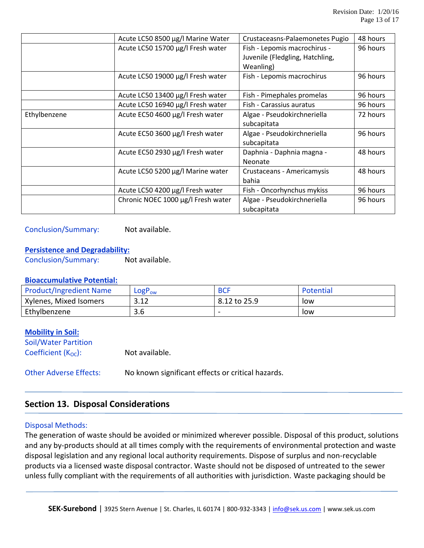|              | Acute LC50 8500 µg/l Marine Water  | Crustaceasns-Palaemonetes Pugio                                              | 48 hours |
|--------------|------------------------------------|------------------------------------------------------------------------------|----------|
|              | Acute LC50 15700 µg/l Fresh water  | Fish - Lepomis macrochirus -<br>Juvenile (Fledgling, Hatchling,<br>Weanling) | 96 hours |
|              | Acute LC50 19000 µg/l Fresh water  | Fish - Lepomis macrochirus                                                   | 96 hours |
|              | Acute LC50 13400 µg/l Fresh water  | Fish - Pimephales promelas                                                   | 96 hours |
|              | Acute LC50 16940 µg/l Fresh water  | Fish - Carassius auratus                                                     | 96 hours |
| Ethylbenzene | Acute EC50 4600 µg/l Fresh water   | Algae - Pseudokirchneriella<br>subcapitata                                   | 72 hours |
|              | Acute EC50 3600 µg/l Fresh water   | Algae - Pseudokirchneriella<br>subcapitata                                   | 96 hours |
|              | Acute EC50 2930 µg/l Fresh water   | Daphnia - Daphnia magna -<br>Neonate                                         | 48 hours |
|              | Acute LC50 5200 µg/l Marine water  | Crustaceans - Americamysis<br>bahia                                          | 48 hours |
|              | Acute LC50 4200 µg/l Fresh water   | Fish - Oncorhynchus mykiss                                                   | 96 hours |
|              | Chronic NOEC 1000 µg/l Fresh water | Algae - Pseudokirchneriella<br>subcapitata                                   | 96 hours |

Conclusion/Summary: Not available.

#### **Persistence and Degradability:**

Conclusion/Summary: Not available.

#### **Bioaccumulative Potential:**

| <b>Product/Ingredient Name</b> | $LogP_{ow}$   | <b>BCF</b>               | Potential |
|--------------------------------|---------------|--------------------------|-----------|
| Xylenes, Mixed Isomers         | ວ 1 ວ<br>3.IZ | 8.12 to 25.9             | low       |
| Ethylbenzene                   | 3.6           | $\overline{\phantom{a}}$ | low       |

#### **Mobility in Soil:**

Soil/Water Partition Coefficient  $(K_{OC})$ : Not available.

Other Adverse Effects: No known significant effects or critical hazards.

# **Section 13. Disposal Considerations**

#### Disposal Methods:

The generation of waste should be avoided or minimized wherever possible. Disposal of this product, solutions and any by-products should at all times comply with the requirements of environmental protection and waste disposal legislation and any regional local authority requirements. Dispose of surplus and non-recyclable products via a licensed waste disposal contractor. Waste should not be disposed of untreated to the sewer unless fully compliant with the requirements of all authorities with jurisdiction. Waste packaging should be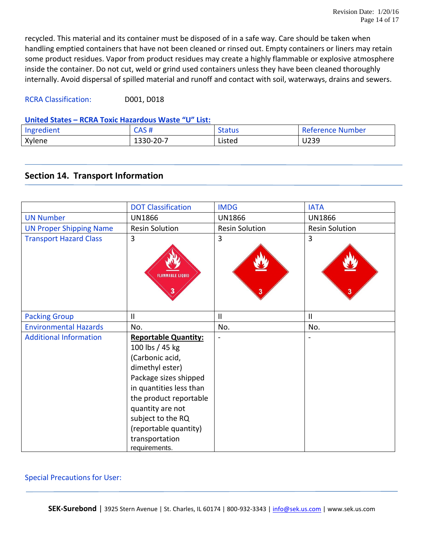recycled. This material and its container must be disposed of in a safe way. Care should be taken when handling emptied containers that have not been cleaned or rinsed out. Empty containers or liners may retain some product residues. Vapor from product residues may create a highly flammable or explosive atmosphere inside the container. Do not cut, weld or grind used containers unless they have been cleaned thoroughly internally. Avoid dispersal of spilled material and runoff and contact with soil, waterways, drains and sewers.

RCRA Classification: D001, D018

# **United States – RCRA Toxic Hazardous Waste "U" List:**

| Ingredient | CNC #<br>САЈ Н    | Status | <b>Reference Number</b> |
|------------|-------------------|--------|-------------------------|
| Xylene     | $-20-7$<br>1330-2 | Listed | U239                    |

# **Section 14. Transport Information**

|                                | <b>DOT Classification</b>                                                                                                                                                                                                                                               | <b>IMDG</b>           | <b>IATA</b>           |
|--------------------------------|-------------------------------------------------------------------------------------------------------------------------------------------------------------------------------------------------------------------------------------------------------------------------|-----------------------|-----------------------|
| <b>UN Number</b>               | <b>UN1866</b>                                                                                                                                                                                                                                                           | <b>UN1866</b>         | <b>UN1866</b>         |
| <b>UN Proper Shipping Name</b> | <b>Resin Solution</b>                                                                                                                                                                                                                                                   | <b>Resin Solution</b> | <b>Resin Solution</b> |
| <b>Transport Hazard Class</b>  | 3<br><b>FLAMMABLE LIQUID</b>                                                                                                                                                                                                                                            | 3<br>3                | 3                     |
| <b>Packing Group</b>           | $\mathbf{I}$                                                                                                                                                                                                                                                            | $\mathbf{I}$          | $\mathbf{II}$         |
| <b>Environmental Hazards</b>   | No.                                                                                                                                                                                                                                                                     | No.                   | No.                   |
| <b>Additional Information</b>  | <b>Reportable Quantity:</b><br>100 lbs / 45 kg<br>(Carbonic acid,<br>dimethyl ester)<br>Package sizes shipped<br>in quantities less than<br>the product reportable<br>quantity are not<br>subject to the RQ<br>(reportable quantity)<br>transportation<br>requirements. |                       |                       |

#### Special Precautions for User:

**SEK-Surebond** | 3925 Stern Avenue | St. Charles, IL 60174 | 800-932-3343 | [info@sek.us.com](mailto:info@sek.us.com) | www.sek.us.com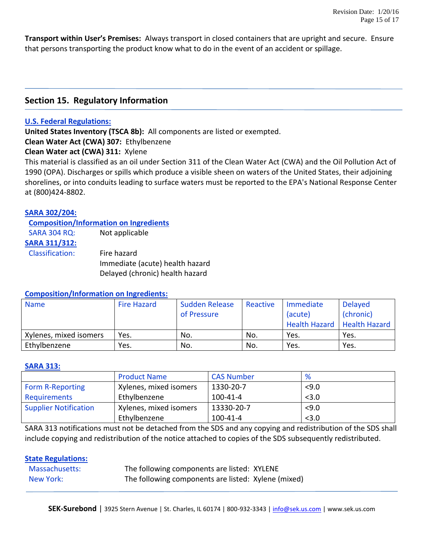**Transport within User's Premises:** Always transport in closed containers that are upright and secure. Ensure that persons transporting the product know what to do in the event of an accident or spillage.

# **Section 15. Regulatory Information**

#### **U.S. Federal Regulations:**

**United States Inventory (TSCA 8b):** All components are listed or exempted.

**Clean Water Act (CWA) 307:** Ethylbenzene

**Clean Water act (CWA) 311:** Xylene

This material is classified as an oil under Section 311 of the Clean Water Act (CWA) and the Oil Pollution Act of 1990 (OPA). Discharges or spills which produce a visible sheen on waters of the United States, their adjoining shorelines, or into conduits leading to surface waters must be reported to the EPA's National Response Center at (800)424-8802.

#### **SARA 302/204:**

#### **Composition/Information on Ingredients**

| <b>SARA 304 RQ:</b>    | Not applicable                  |
|------------------------|---------------------------------|
| <b>SARA 311/312:</b>   |                                 |
| <b>Classification:</b> | Fire hazard                     |
|                        | Immediate (acute) health hazard |
|                        | Delayed (chronic) health hazard |

#### **Composition/Information on Ingredients:**

| <b>Name</b>            | Fire Hazard | Sudden Release<br>of Pressure | Reactive | Immediate<br>(acute)<br><b>Health Hazard</b> | <b>Delayed</b><br>(chronic)<br><b>Health Hazard</b> |
|------------------------|-------------|-------------------------------|----------|----------------------------------------------|-----------------------------------------------------|
| Xylenes, mixed isomers | Yes.        | No.                           | No.      | Yes.                                         | Yes.                                                |
| Ethylbenzene           | Yes.        | No.                           | No.      | Yes.                                         | Yes.                                                |

#### **SARA 313:**

|                              | <b>Product Name</b>    | <b>CAS Number</b> | %     |
|------------------------------|------------------------|-------------------|-------|
| <b>Form R-Reporting</b>      | Xylenes, mixed isomers | 1330-20-7         | 59.0  |
| Requirements                 | Ethylbenzene           | 100-41-4          | < 3.0 |
| <b>Supplier Notification</b> | Xylenes, mixed isomers | 13330-20-7        | 59.0  |
|                              | Ethylbenzene           | $100 - 41 - 4$    | < 3.0 |

SARA 313 notifications must not be detached from the SDS and any copying and redistribution of the SDS shall include copying and redistribution of the notice attached to copies of the SDS subsequently redistributed.

#### **State Regulations:**

| Massachusetts: | The following components are listed: XYLENE         |
|----------------|-----------------------------------------------------|
| New York:      | The following components are listed: Xylene (mixed) |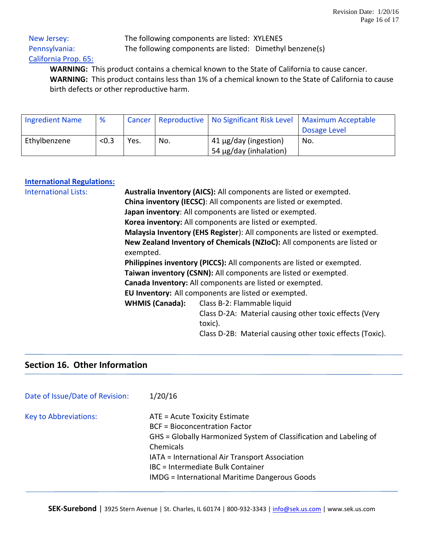# California Prop. 65:

 New Jersey: The following components are listed: XYLENES Pennsylvania: The following components are listed: Dimethyl benzene(s)

 **WARNING:** This product contains a chemical known to the State of California to cause cancer. **WARNING:** This product contains less than 1% of a chemical known to the State of California to cause birth defects or other reproductive harm.

| <b>Ingredient Name</b> | %     |      |     | Cancer   Reproductive   No Significant Risk Level   Maximum Acceptable |              |
|------------------------|-------|------|-----|------------------------------------------------------------------------|--------------|
|                        |       |      |     |                                                                        | Dosage Level |
| Ethylbenzene           | < 0.3 | Yes. | No. | 41 µg/day (ingestion)                                                  | No.          |
|                        |       |      |     | 54 µg/day (inhalation)                                                 |              |

#### **International Regulations:**

| <b>International Lists:</b> | Australia Inventory (AICS): All components are listed or exempted.<br>China inventory (IECSC): All components are listed or exempted.<br>Japan inventory: All components are listed or exempted.<br>Korea inventory: All components are listed or exempted. |                                                                 |                                                                   |  |                                                                           |  |  |  |  |
|-----------------------------|-------------------------------------------------------------------------------------------------------------------------------------------------------------------------------------------------------------------------------------------------------------|-----------------------------------------------------------------|-------------------------------------------------------------------|--|---------------------------------------------------------------------------|--|--|--|--|
|                             |                                                                                                                                                                                                                                                             |                                                                 |                                                                   |  |                                                                           |  |  |  |  |
|                             |                                                                                                                                                                                                                                                             |                                                                 |                                                                   |  | Malaysia Inventory (EHS Register): All components are listed or exempted. |  |  |  |  |
|                             |                                                                                                                                                                                                                                                             |                                                                 |                                                                   |  | New Zealand Inventory of Chemicals (NZIoC): All components are listed or  |  |  |  |  |
|                             | exempted.                                                                                                                                                                                                                                                   |                                                                 |                                                                   |  |                                                                           |  |  |  |  |
|                             | Philippines inventory (PICCS): All components are listed or exempted.                                                                                                                                                                                       |                                                                 |                                                                   |  |                                                                           |  |  |  |  |
|                             |                                                                                                                                                                                                                                                             | Taiwan inventory (CSNN): All components are listed or exempted. |                                                                   |  |                                                                           |  |  |  |  |
|                             | Canada Inventory: All components are listed or exempted.                                                                                                                                                                                                    |                                                                 |                                                                   |  |                                                                           |  |  |  |  |
|                             | EU Inventory: All components are listed or exempted.                                                                                                                                                                                                        |                                                                 |                                                                   |  |                                                                           |  |  |  |  |
|                             |                                                                                                                                                                                                                                                             | <b>WHMIS (Canada):</b>                                          | Class B-2: Flammable liquid                                       |  |                                                                           |  |  |  |  |
|                             |                                                                                                                                                                                                                                                             |                                                                 | Class D-2A: Material causing other toxic effects (Very<br>toxic). |  |                                                                           |  |  |  |  |
|                             |                                                                                                                                                                                                                                                             | Class D-2B: Material causing other toxic effects (Toxic).       |                                                                   |  |                                                                           |  |  |  |  |

# **Section 16. Other Information**

| Date of Issue/Date of Revision: | 1/20/16                                                                                                                                                                                                                                                                                                 |
|---------------------------------|---------------------------------------------------------------------------------------------------------------------------------------------------------------------------------------------------------------------------------------------------------------------------------------------------------|
| <b>Key to Abbreviations:</b>    | ATE = Acute Toxicity Estimate<br><b>BCF = Bioconcentration Factor</b><br>GHS = Globally Harmonized System of Classification and Labeling of<br>Chemicals<br>IATA = International Air Transport Association<br>IBC = Intermediate Bulk Container<br><b>IMDG</b> = International Maritime Dangerous Goods |